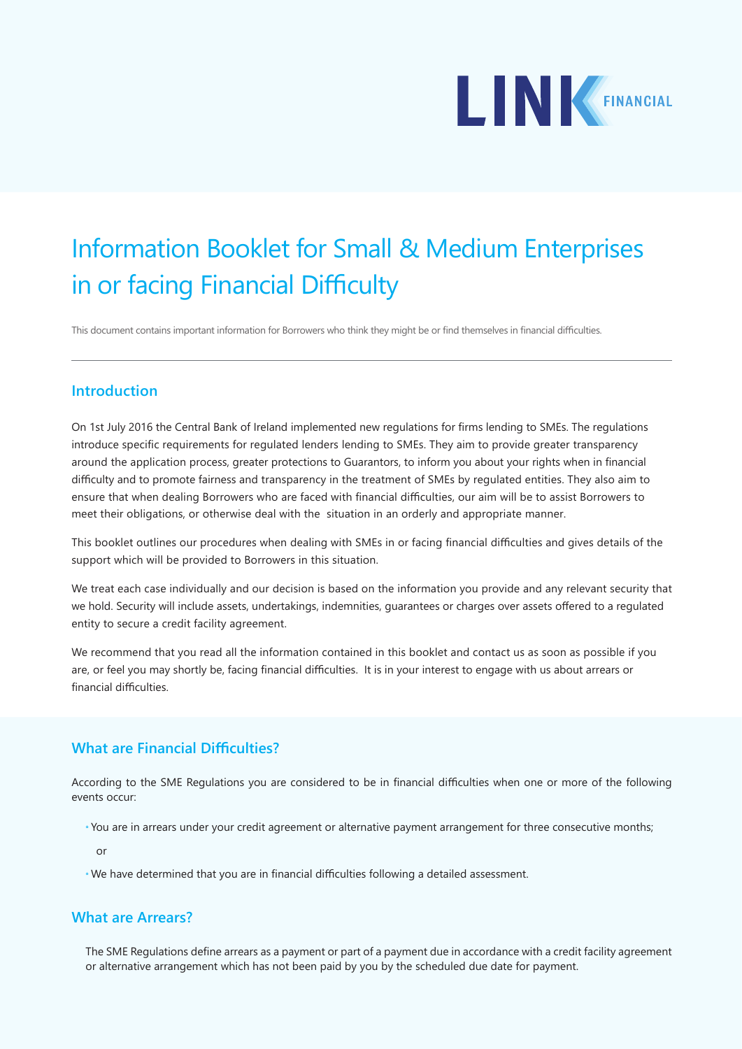

# Information Booklet for Small & Medium Enterprises in or facing Financial Difficulty

This document contains important information for Borrowers who think they might be or find themselves in financial difficulties.

#### **Introduction**

On 1st July 2016 the Central Bank of Ireland implemented new regulations for firms lending to SMEs. The regulations introduce specific requirements for regulated lenders lending to SMEs. They aim to provide greater transparency around the application process, greater protections to Guarantors, to inform you about your rights when in financial difficulty and to promote fairness and transparency in the treatment of SMEs by regulated entities. They also aim to ensure that when dealing Borrowers who are faced with financial difficulties, our aim will be to assist Borrowers to meet their obligations, or otherwise deal with the situation in an orderly and appropriate manner.

This booklet outlines our procedures when dealing with SMEs in or facing financial difficulties and gives details of the support which will be provided to Borrowers in this situation.

We treat each case individually and our decision is based on the information you provide and any relevant security that we hold. Security will include assets, undertakings, indemnities, guarantees or charges over assets offered to a regulated entity to secure a credit facility agreement.

We recommend that you read all the information contained in this booklet and contact us as soon as possible if you are, or feel you may shortly be, facing financial difficulties. It is in your interest to engage with us about arrears or financial difficulties.

## **What are Financial Difficulties?**

According to the SME Regulations you are considered to be in financial difficulties when one or more of the following events occur:

**\*** You are in arrears under your credit agreement or alternative payment arrangement for three consecutive months;

or

**\*** We have determined that you are in financial difficulties following a detailed assessment.

#### **What are Arrears?**

The SME Regulations define arrears as a payment or part of a payment due in accordance with a credit facility agreement or alternative arrangement which has not been paid by you by the scheduled due date for payment.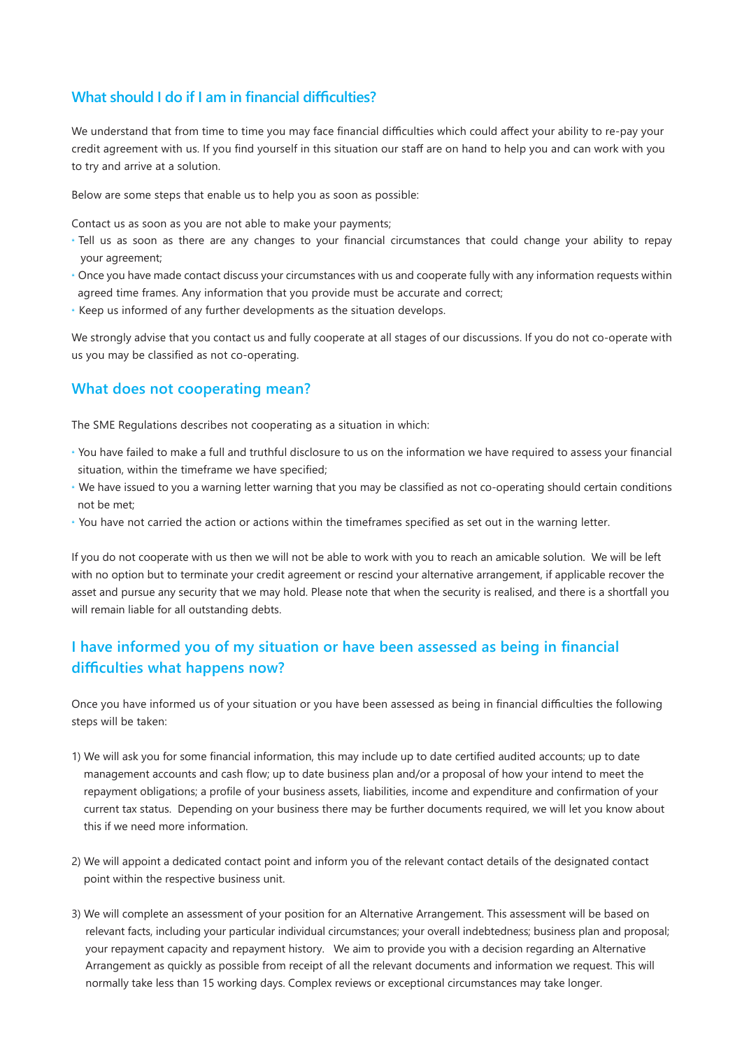## **What should I do if I am in financial difficulties?**

We understand that from time to time you may face financial difficulties which could affect your ability to re-pay your credit agreement with us. If you find yourself in this situation our staff are on hand to help you and can work with you to try and arrive at a solution.

Below are some steps that enable us to help you as soon as possible:

Contact us as soon as you are not able to make your payments;

- **\*** Tell us as soon as there are any changes to your financial circumstances that could change your ability to repay your agreement;
- **\*** Once you have made contact discuss your circumstances with us and cooperate fully with any information requests within agreed time frames. Any information that you provide must be accurate and correct;
- **\*** Keep us informed of any further developments as the situation develops.

We strongly advise that you contact us and fully cooperate at all stages of our discussions. If you do not co-operate with us you may be classified as not co-operating.

#### **What does not cooperating mean?**

The SME Regulations describes not cooperating as a situation in which:

- **\*** You have failed to make a full and truthful disclosure to us on the information we have required to assess your financial situation, within the timeframe we have specified;
- **\*** We have issued to you a warning letter warning that you may be classified as not co-operating should certain conditions not be met;
- **\*** You have not carried the action or actions within the timeframes specified as set out in the warning letter.

If you do not cooperate with us then we will not be able to work with you to reach an amicable solution. We will be left with no option but to terminate your credit agreement or rescind your alternative arrangement, if applicable recover the asset and pursue any security that we may hold. Please note that when the security is realised, and there is a shortfall you will remain liable for all outstanding debts.

## **I have informed you of my situation or have been assessed as being in financial difficulties what happens now?**

Once you have informed us of your situation or you have been assessed as being in financial difficulties the following steps will be taken:

- 1) We will ask you for some financial information, this may include up to date certified audited accounts; up to date management accounts and cash flow; up to date business plan and/or a proposal of how your intend to meet the repayment obligations; a profile of your business assets, liabilities, income and expenditure and confirmation of your current tax status. Depending on your business there may be further documents required, we will let you know about this if we need more information.
- 2) We will appoint a dedicated contact point and inform you of the relevant contact details of the designated contact point within the respective business unit.
- 3) We will complete an assessment of your position for an Alternative Arrangement. This assessment will be based on relevant facts, including your particular individual circumstances; your overall indebtedness; business plan and proposal; your repayment capacity and repayment history. We aim to provide you with a decision regarding an Alternative Arrangement as quickly as possible from receipt of all the relevant documents and information we request. This will normally take less than 15 working days. Complex reviews or exceptional circumstances may take longer.